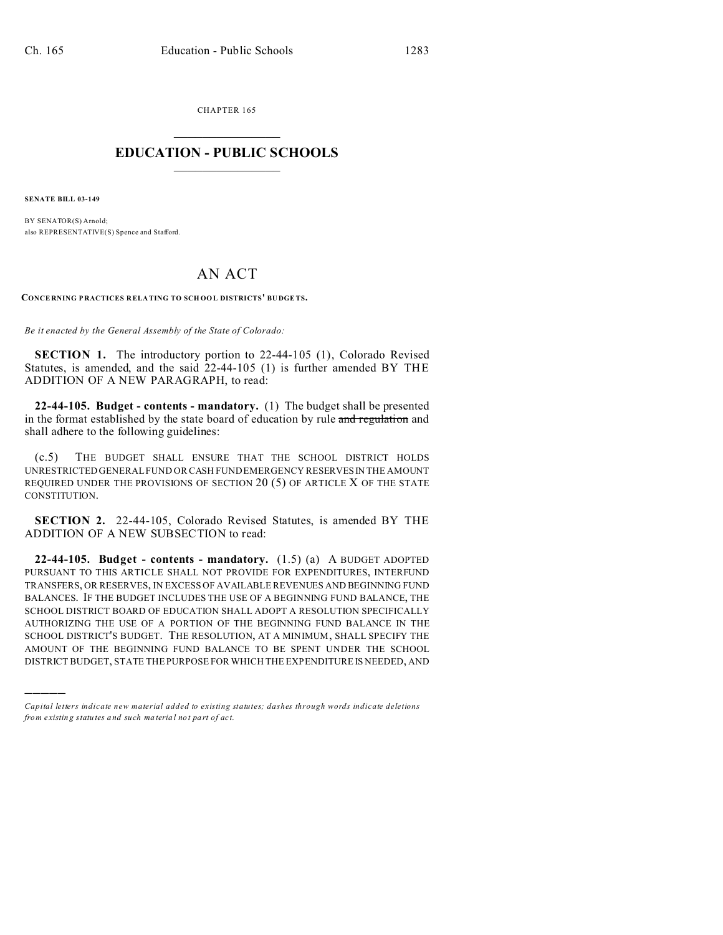CHAPTER 165  $\overline{\phantom{a}}$  , where  $\overline{\phantom{a}}$ 

## **EDUCATION - PUBLIC SCHOOLS**  $\_$   $\_$   $\_$   $\_$   $\_$   $\_$   $\_$   $\_$   $\_$

**SENATE BILL 03-149**

)))))

BY SENATOR(S) Arnold; also REPRESENTATIVE(S) Spence and Stafford.

## AN ACT

**CONCE RNING P RACTICES R ELATING TO SCH OOL DISTRICTS' BU DGETS.**

*Be it enacted by the General Assembly of the State of Colorado:*

**SECTION 1.** The introductory portion to 22-44-105 (1), Colorado Revised Statutes, is amended, and the said 22-44-105 (1) is further amended BY THE ADDITION OF A NEW PARAGRAPH, to read:

**22-44-105. Budget - contents - mandatory.** (1) The budget shall be presented in the format established by the state board of education by rule and regulation and shall adhere to the following guidelines:

(c.5) THE BUDGET SHALL ENSURE THAT THE SCHOOL DISTRICT HOLDS UNRESTRICTED GENERAL FUND OR CASH FUND EMERGENCY RESERVESIN THE AMOUNT REQUIRED UNDER THE PROVISIONS OF SECTION 20 (5) OF ARTICLE X OF THE STATE CONSTITUTION.

**SECTION 2.** 22-44-105, Colorado Revised Statutes, is amended BY THE ADDITION OF A NEW SUBSECTION to read:

**22-44-105. Budget - contents - mandatory.** (1.5) (a) A BUDGET ADOPTED PURSUANT TO THIS ARTICLE SHALL NOT PROVIDE FOR EXPENDITURES, INTERFUND TRANSFERS, OR RESERVES, IN EXCESS OF AVAILABLE REVENUES AND BEGINNING FUND BALANCES. IF THE BUDGET INCLUDES THE USE OF A BEGINNING FUND BALANCE, THE SCHOOL DISTRICT BOARD OF EDUCATION SHALL ADOPT A RESOLUTION SPECIFICALLY AUTHORIZING THE USE OF A PORTION OF THE BEGINNING FUND BALANCE IN THE SCHOOL DISTRICT'S BUDGET. THE RESOLUTION, AT A MINIMUM, SHALL SPECIFY THE AMOUNT OF THE BEGINNING FUND BALANCE TO BE SPENT UNDER THE SCHOOL DISTRICT BUDGET, STATE THE PURPOSE FOR WHICH THE EXPENDITURE IS NEEDED, AND

*Capital letters indicate new material added to existing statutes; dashes through words indicate deletions from e xistin g statu tes a nd such ma teria l no t pa rt of ac t.*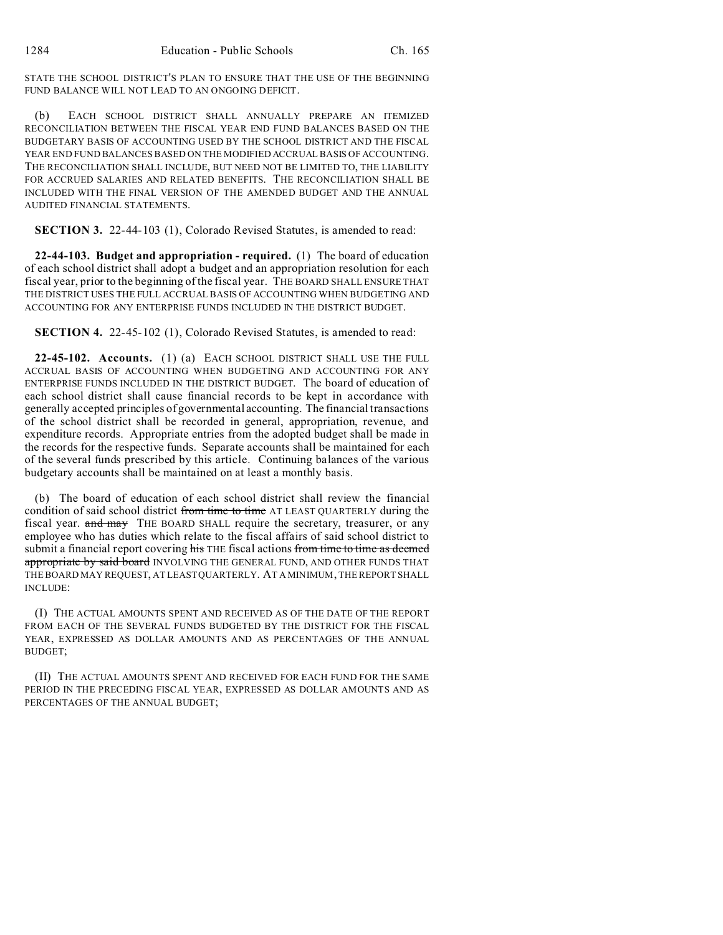STATE THE SCHOOL DISTRICT'S PLAN TO ENSURE THAT THE USE OF THE BEGINNING FUND BALANCE WILL NOT LEAD TO AN ONGOING DEFICIT.

(b) EACH SCHOOL DISTRICT SHALL ANNUALLY PREPARE AN ITEMIZED RECONCILIATION BETWEEN THE FISCAL YEAR END FUND BALANCES BASED ON THE BUDGETARY BASIS OF ACCOUNTING USED BY THE SCHOOL DISTRICT AND THE FISCAL YEAR END FUND BALANCES BASED ON THE MODIFIED ACCRUAL BASIS OF ACCOUNTING. THE RECONCILIATION SHALL INCLUDE, BUT NEED NOT BE LIMITED TO, THE LIABILITY FOR ACCRUED SALARIES AND RELATED BENEFITS. THE RECONCILIATION SHALL BE INCLUDED WITH THE FINAL VERSION OF THE AMENDED BUDGET AND THE ANNUAL AUDITED FINANCIAL STATEMENTS.

**SECTION 3.** 22-44-103 (1), Colorado Revised Statutes, is amended to read:

**22-44-103. Budget and appropriation - required.** (1) The board of education of each school district shall adopt a budget and an appropriation resolution for each fiscal year, prior to the beginning of the fiscal year. THE BOARD SHALL ENSURE THAT THE DISTRICT USES THE FULL ACCRUAL BASIS OF ACCOUNTING WHEN BUDGETING AND ACCOUNTING FOR ANY ENTERPRISE FUNDS INCLUDED IN THE DISTRICT BUDGET.

**SECTION 4.** 22-45-102 (1), Colorado Revised Statutes, is amended to read:

**22-45-102. Accounts.** (1) (a) EACH SCHOOL DISTRICT SHALL USE THE FULL ACCRUAL BASIS OF ACCOUNTING WHEN BUDGETING AND ACCOUNTING FOR ANY ENTERPRISE FUNDS INCLUDED IN THE DISTRICT BUDGET. The board of education of each school district shall cause financial records to be kept in accordance with generally accepted principles of governmental accounting. The financial transactions of the school district shall be recorded in general, appropriation, revenue, and expenditure records. Appropriate entries from the adopted budget shall be made in the records for the respective funds. Separate accounts shall be maintained for each of the several funds prescribed by this article. Continuing balances of the various budgetary accounts shall be maintained on at least a monthly basis.

(b) The board of education of each school district shall review the financial condition of said school district from time to time AT LEAST QUARTERLY during the fiscal year. and may THE BOARD SHALL require the secretary, treasurer, or any employee who has duties which relate to the fiscal affairs of said school district to submit a financial report covering his THE fiscal actions from time to time as deemed appropriate by said board INVOLVING THE GENERAL FUND, AND OTHER FUNDS THAT THE BOARD MAY REQUEST, AT LEAST QUARTERLY. AT A MINIMUM, THE REPORT SHALL INCLUDE:

(I) THE ACTUAL AMOUNTS SPENT AND RECEIVED AS OF THE DATE OF THE REPORT FROM EACH OF THE SEVERAL FUNDS BUDGETED BY THE DISTRICT FOR THE FISCAL YEAR, EXPRESSED AS DOLLAR AMOUNTS AND AS PERCENTAGES OF THE ANNUAL BUDGET;

(II) THE ACTUAL AMOUNTS SPENT AND RECEIVED FOR EACH FUND FOR THE SAME PERIOD IN THE PRECEDING FISCAL YEAR, EXPRESSED AS DOLLAR AMOUNTS AND AS PERCENTAGES OF THE ANNUAL BUDGET;